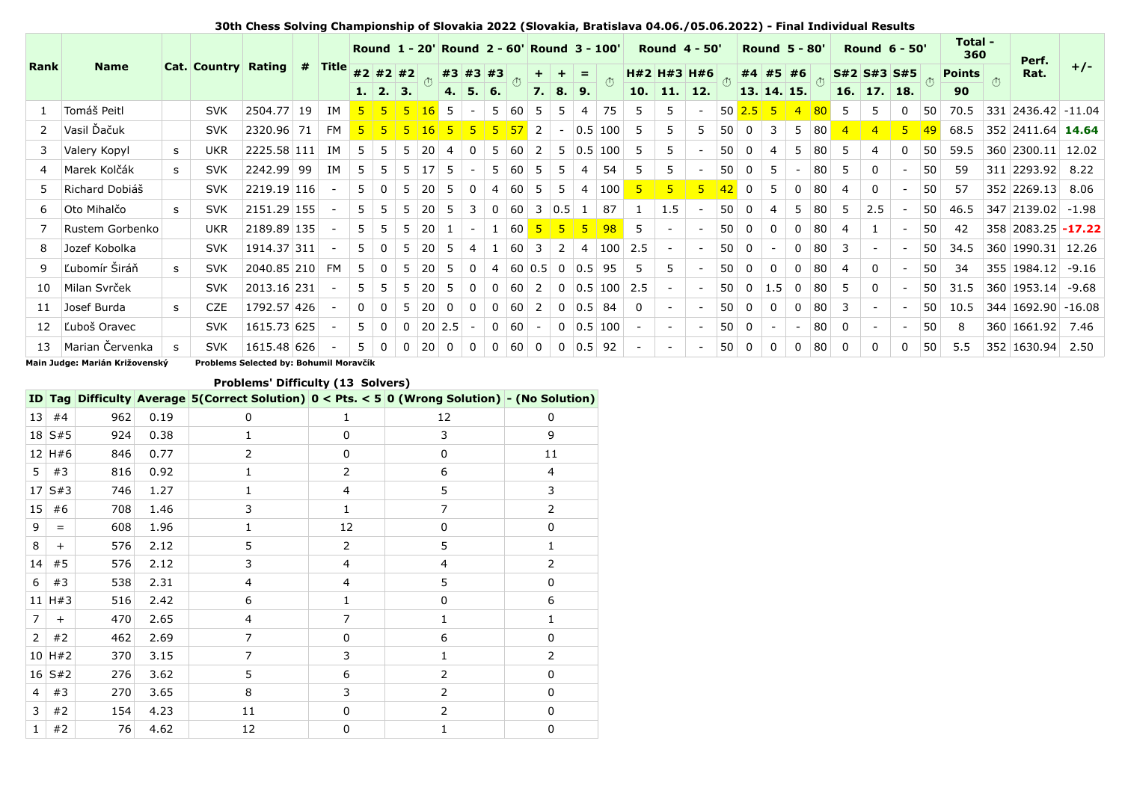|      |                 |    |                            |             |   |                      | Round 1 - 20' Round 2 - 60' Round 3 - 100'<br><b>Round 4 - 50'</b> |              |          |                 |       |                |              | <b>Round 5 - 80'</b> |                |                        |   |                                | <b>Round 6 - 50'</b> |                | Total -<br>360 | Perf.           |                |             |                |                    |             |                   |                |                 |               |                    |       |
|------|-----------------|----|----------------------------|-------------|---|----------------------|--------------------------------------------------------------------|--------------|----------|-----------------|-------|----------------|--------------|----------------------|----------------|------------------------|---|--------------------------------|----------------------|----------------|----------------|-----------------|----------------|-------------|----------------|--------------------|-------------|-------------------|----------------|-----------------|---------------|--------------------|-------|
| Rank | <b>Name</b>     |    | <b>Cat. Country Rating</b> |             | # | $\blacksquare$ Title |                                                                    | $#2$ #2 #2   |          |                 |       | #3 #3 #3       |              |                      |                |                        |   |                                |                      |                | H#2 H#3 H#6    |                 |                |             | #4 #5 #6       |                    |             | $S#2$ $S#3$ $S#5$ |                |                 | <b>Points</b> | Rat.               | $+/-$ |
|      |                 |    |                            |             |   |                      |                                                                    | 1.   2.   3. |          |                 |       | 4.5.6.         |              |                      |                | 7.8.9.                 |   |                                |                      |                | $10.$ 11. 12.  |                 |                |             | 13. 14. 15.    |                    |             | $16.$ 17. 18.     |                |                 | 90            |                    |       |
|      | Tomáš Peitl     |    | <b>SVK</b>                 | 2504.77 19  |   | ΙM                   | 5 <sub>1</sub>                                                     | -51          | -5.      | 16              | -5    |                |              | $5 \vert 60 \vert$   | -5             | 5                      | 4 | 75                             | -5                   |                |                |                 | $50 \ 2.5 \ 5$ |             | $\overline{4}$ | 80                 | -5          | 5                 | $\mathbf{0}$   | 50              | 70.5          | 331 2436.42 -11.04 |       |
| 2    | Vasil Ďačuk     |    | <b>SVK</b>                 | 2320.96 71  |   | <b>FM</b>            |                                                                    |              |          |                 |       |                | 5            | 57                   | 2              | $\sim$                 |   | $0.5 \, 100$                   | -5                   | 5.             | 5.             | 50 <sup>1</sup> | $\Omega$       | 3           |                | 5 80               |             | $\overline{4}$    | 5 <sup>1</sup> | 49              | 68.5          | 352 2411.64 14.64  |       |
| 3    | Valery Kopyl    | s. | <b>UKR</b>                 | 2225.58 111 |   | <b>TM</b>            | 5.                                                                 |              | .5.      | 20              |       | $\Omega$       |              | $5 \ 60 \ 2$         |                |                        |   | 5   0.5   100                  | -5                   |                |                | 50 <sup>1</sup> | $\Omega$       | 4           |                | 80                 | 5.          | 4                 | $\Omega$       | 50              | 59.5          | 360 2300.11 12.02  |       |
|      | Marek Kolčák    | s  | <b>SVK</b>                 | 2242.99 99  |   | ΙM                   | 5.                                                                 | .5.          | -5       | 17 <sup>5</sup> |       |                |              | 5   60   5           |                | 5                      | 4 | 54                             | - 5                  | 5.             |                |                 | 500            | -5          |                | 80                 | -5          | $\Omega$          |                | 50              | 59            | 311 2293.92 8.22   |       |
| 5.   | Richard Dobiáš  |    | <b>SVK</b>                 | 2219.19 116 |   |                      | 5.                                                                 | $\Omega$     | .5.      | 20              | -5    | $\Omega$       | 4            | <b>60</b>            | -5.            | 5                      | 4 | $\vert$ 100 $\vert$            | $\overline{5}$       | 5 <sup>1</sup> | 5 <sup>1</sup> | 42              | $\overline{0}$ | 5           | 0              | 80                 | 4           | $\Omega$          |                | 50 <sup>1</sup> | 57            | 352 2269.13        | 8.06  |
| 6    | Oto Mihalčo     | s. | <b>SVK</b>                 | 2151.29 155 |   |                      | 5.                                                                 | .5.          | .5.      | 20              | -5    | 3              | $\Omega$     | <b>60</b>            | 3              | 0.5                    |   | 87                             |                      | 1.5            |                | 50 <sup>1</sup> | $\Omega$       | 4           | 5.             | 80                 | 5           | 2.5               |                | 50 <sup>1</sup> | 46.5          | 347 2139.02 -1.98  |       |
|      | Rustem Gorbenko |    | <b>UKR</b>                 | 2189.89 135 |   |                      | $5-1$                                                              | .5.          | 5        | <b>20</b>       |       |                |              | $1 \vert 60 \vert$   |                | $5 \mid 5 \mid 5 \mid$ |   | 98                             | -5                   |                |                |                 | 500            | $\mathbf 0$ |                | $0$ 80             | 4           |                   |                | 50 <sub>1</sub> | 42            | 358 2083.25 -17.22 |       |
| 8    | Jozef Kobolka   |    | <b>SVK</b>                 | 1914.37 311 |   | $\sim$               | 5.                                                                 | $\Omega$     | .5.      | <b>20</b>       | $5 -$ | $\overline{4}$ |              | $60 \quad 3$         |                | $^+$ 2 $^+$            |   | 4   100   2.5                  |                      |                |                | 50 <sup>1</sup> | $\overline{0}$ |             |                | $0 \vert 80 \vert$ | 3           |                   |                | 50 <sup>1</sup> | 34.5          | 360 1990.31 12.26  |       |
| 9    | Ľubomír Širáň   | S. | <b>SVK</b>                 | 2040.85 210 |   | FM                   | 5.                                                                 | $\Omega$     | -5       | <b>20</b>       | - 5   | $\Omega$       |              |                      |                |                        |   | 4   60   0.5   0   0.5   95    | -5                   | 5.             |                |                 | 500            | $\mathbf 0$ | $\Omega$       | 80                 | 4           | $\Omega$          |                | 50 <sup>1</sup> | 34            | 355 1984.12        | -9.16 |
| 10   | Milan Svrček    |    | <b>SVK</b>                 | 2013.16 231 |   |                      | 5.                                                                 | 5.           | 5.       | 20              | -5    | $\Omega$       | $\mathbf{0}$ | $60\overline{2}$     |                |                        |   | $0 \mid 0.5 \mid 100 \mid 2.5$ |                      |                |                | 50              | $\overline{0}$ | 1.5         | 0              | 80                 | -5          | $\Omega$          |                | 50 <sup>1</sup> | 31.5          | 360 1953.14 -9.68  |       |
| 11   | Josef Burda     | s. | <b>CZE</b>                 | 1792.57 426 |   |                      | $\Omega$                                                           | $\Omega$     | -5       | 20              | 0     | $\Omega$       |              | $0 \t60$ 2           |                |                        |   | $0 \mid 0.5 \mid 84$           | - 0                  |                |                | 50 <sup>1</sup> | $\overline{0}$ | $\mathbf 0$ | 0              | 80                 | 3           |                   |                | 50 <sup>1</sup> | 10.5          | 344 1692.90 -16.08 |       |
| 12   | Ľuboš Oravec    |    | <b>SVK</b>                 | 1615.73 625 |   |                      | 5.                                                                 | $\Omega$     | $\Omega$ | $20$ 2.5        |       |                |              | $0 \mid 60 \mid$     |                |                        |   | $0 \mid 0.5 \mid 100$          |                      |                |                |                 | 500            |             |                | 80                 | $\mathbf 0$ |                   |                | 50              | 8             | 360 1661.92        | 7.46  |
| 13   | Marian Červenka | s  | <b>SVK</b>                 | 1615.48 626 |   |                      | 5                                                                  | $\Omega$     | $\Omega$ | 20              | 0     | $\Omega$       | $\mathbf{0}$ | 60                   | $\overline{0}$ |                        |   | $0 \mid 0.5 \mid 92$           |                      |                |                | 50              | $\mathbf 0$    | 0           | 0              | 80                 | 0           | 0                 | $\mathbf{0}$   | 50              | 5.5           | 352 1630.94        | 2.50  |

**30th Chess Solving Championship of Slovakia 2022 (Slovakia, Bratislava 04.06./05.06.2022) - Final Individual Results**

**Main Judge: Marián Križovenský Problems Selected by: Bohumil Moravčík**

## **Problems' Difficulty (13 Solvers)**

|                 |             |     |      | ID Tag Difficulty Average 5(Correct Solution) $0 <$ Pts. $<$ 5 0 (Wrong Solution) - (No Solution) |                |    |          |
|-----------------|-------------|-----|------|---------------------------------------------------------------------------------------------------|----------------|----|----------|
| 13 <sup>1</sup> | #4          | 962 | 0.19 | 0                                                                                                 | 1              | 12 | 0        |
|                 | 18 S#5      | 924 | 0.38 | 1                                                                                                 | 0              | 3  | 9        |
|                 | $12$ H#6    | 846 | 0.77 | 2                                                                                                 | 0              | 0  | 11       |
| 5               | #3          | 816 | 0.92 | 1                                                                                                 | 2              | 6  | 4        |
| 17 <sup>1</sup> | S#3         | 746 | 1.27 | 1                                                                                                 | $\overline{4}$ | 5  | 3        |
| 15              | #6          | 708 | 1.46 | 3                                                                                                 | 1              | 7  | 2        |
| 9               | $=$         | 608 | 1.96 | 1                                                                                                 | 12             | 0  | 0        |
| 8               | $+$         | 576 | 2.12 | 5                                                                                                 | 2              | 5  | 1        |
| 14              | #5          | 576 | 2.12 | 3                                                                                                 | $\overline{4}$ | 4  | 2        |
| 6               | #3          | 538 | 2.31 | 4                                                                                                 | $\overline{4}$ | 5  | 0        |
|                 | $11$ H#3    | 516 | 2.42 | 6                                                                                                 | 1              | 0  | 6        |
| $\overline{7}$  | $+$         | 470 | 2.65 | $\overline{4}$                                                                                    | $\overline{7}$ | 1  | 1        |
| $\overline{2}$  | #2          | 462 | 2.69 | $\overline{7}$                                                                                    | $\Omega$       | 6  | 0        |
|                 | $10$ H#2    | 370 | 3.15 | $\overline{7}$                                                                                    | 3              | 1  | 2        |
|                 | $16 \, S#2$ | 276 | 3.62 | 5                                                                                                 | 6              | 2  | 0        |
| $\overline{4}$  | #3          | 270 | 3.65 | 8                                                                                                 | 3              | 2  | 0        |
| 3               | #2          | 154 | 4.23 | 11                                                                                                | $\Omega$       | 2  | $\Omega$ |
| 1               | #2          | 76  | 4.62 | 12                                                                                                | $\mathbf 0$    | 1  | 0        |